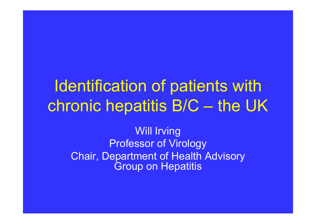# Identification of patients with chronic hepatitis B/C – the UK

Will Irving Professor of Virology Chair, Department of Health Advisory Group on Hepatitis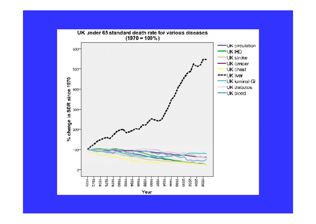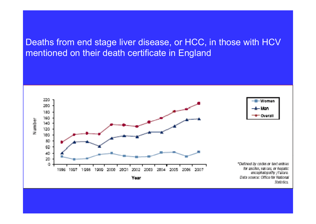#### Deaths from end stage liver disease, or HCC, in those with HCV mentioned on their death certificate in England

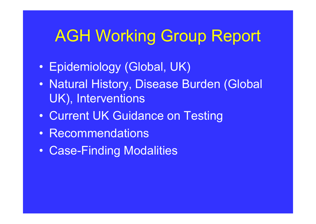# AGH Working Group Report

- $\bullet$ • Epidemiology (Global, UK)
- $\bullet$ • Natural History, Disease Burden (Global UK), Interventions
- $\bullet$ Current UK Guidance on Testing
- Recommendations
- $\bullet$ Case-Finding Modalities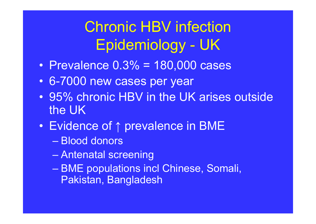## Chronic HBV infection Epidemiology - UK

- $\bullet$ • Prevalence 0.3% = 180,000 cases
- 6-7000 new cases per year
- $\bullet$  95% chronic HBV in the UK arises outside the UK
- Evidence of ↑ prevalence in BME
	- Blood donors
	- Antenatal screening
	- BME populations incl Chinese, Somali, Pakistan, Bangladesh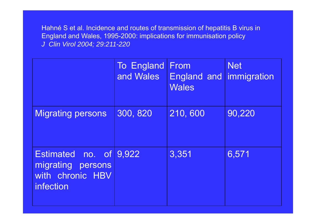Hahné S et al. Incidence and routes of transmission of hepatitis B virus in England and Wales, 1995-2000: implications for immunisation policy *J Clin Virol 2004; 29:211-220*

|                                                                                 | <b>To England</b><br>and Wales | From<br>England and immigration<br><b>Wales</b> | <b>Net</b> |
|---------------------------------------------------------------------------------|--------------------------------|-------------------------------------------------|------------|
| <b>Migrating persons</b>                                                        | 300, 820                       | 210,600                                         | 90,220     |
| Estimated no. of 9,922<br>migrating<br>persons<br>with chronic HBV<br>infection |                                | 3,351                                           | 6,571      |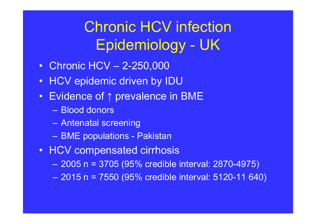## Chronic HCV infection Epidemiology - UK

- Chronic HCV 2-250,000
- $\bullet$ HCV epidemic driven by IDU
- Evidence of ↑ prevalence in BME
	- Blood donors
	- –Antenatal screening
	- –BME populations - Pakistan
- HCV compensated cirrhosis
	- $\mathcal{L}_{\mathcal{A}}$ 2005 n = 3705 (95% credible interval: 2870-4975)
	- –2015 n = 7550 (95% credible interval: 5120-11 640)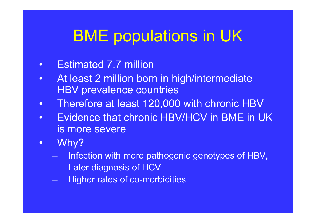# BME populations in UK

- •Estimated 7.7 million
- $\bullet$  At least 2 million born in high/intermediate HBV prevalence countries
- $\bullet$ Therefore at least 120,000 with chronic HBV
- $\bullet$  Evidence that chronic HBV/HCV in BME in UK is more severe
- $\bullet$  Why?
	- Infection with more pathogenic genotypes of HBV,
	- –Later diagnosis of HCV
	- –Higher rates of co-morbidities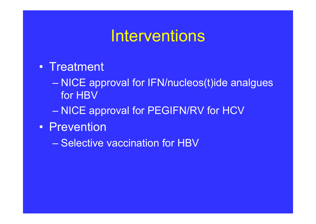### Interventions

- Treatment
	- NICE approval for IFN/nucleos(t)ide analgues for HBV
	- NICE approval for PEGIFN/RV for HCV
- Prevention

– Selective vaccination for HBV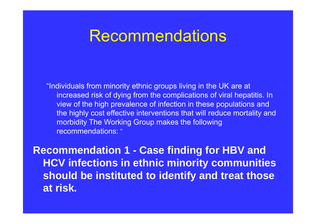### Recommendations

"Individuals from minority ethnic groups living in the UK are at increased risk of dying from the complications of viral hepatitis. In view of the high prevalence of infection in these populations and the highly cost effective interventions that will reduce mortality and morbidity The Working Group makes the following recommendations:"

**Recommendation 1 - Case finding for HBV and HCV infections in ethnic minority communities should be instituted to identify and treat those at risk.**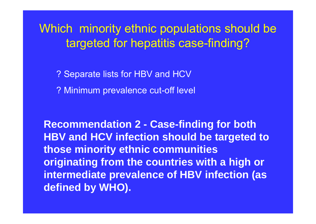### Which minority ethnic populations should be targeted for hepatitis case-finding?

? Separate lists for HBV and HCV

? Minimum prevalence cut-off level

**Recommendation 2 - Case-finding for both HBV and HCV infection should be targeted to those minority ethnic communities originating from the countries with a high or intermediate prevalence of HBV infection (as defined by WHO).**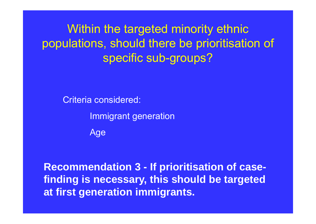Within the targeted minority ethnic populations, should there be prioritisation of specific sub-groups?

Criteria considered:

Immigrant generation

Age

**Recommendation 3 - If prioritisation of casefinding is necessary, this should be targeted at first generation immigrants.**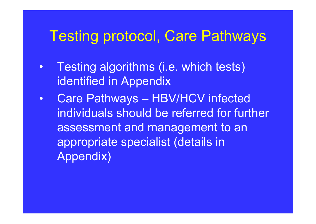### Testing protocol, Care Pathways

- • Testing algorithms (i.e. which tests) identified in Appendix
- $\bullet$  Care Pathways – HBV/HCV infected individuals should be referred for further assessment and management to an appropriate specialist (details in Appendix)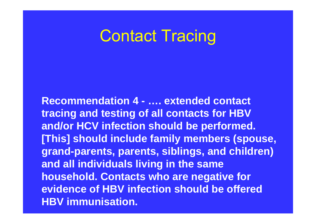### Contact Tracing

**Recommendation 4 - …. extended contact tracing and testing of all contacts for HBV and/or HCV infection should be performed. [This] should include family members (spouse, grand-parents, parents, siblings, and children) and all individuals living in the same household. Contacts who are negative for evidence of HBV infection should be offered HBV immunisation.**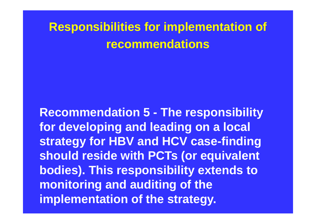### **Responsibilities for implementation of recommendations**

**Recommendation 5 - The responsibility for developing and leading on a local strategy for HBV and HCV case-finding should reside with PCTs (or equivalent bodies). This responsibility extends to monitoring and auditing of the implementation of the strategy.**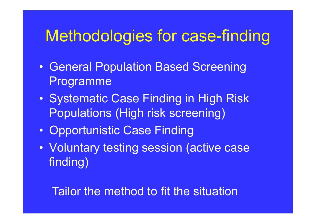## Methodologies for case-finding

- $\bullet$ **• General Population Based Screening** Programme
- $\bullet$ • Systematic Case Finding in High Risk Populations (High risk screening)
- $\bullet$ • Opportunistic Case Finding
- $\bullet$  Voluntary testing session (active case finding)

Tailor the method to fit the situation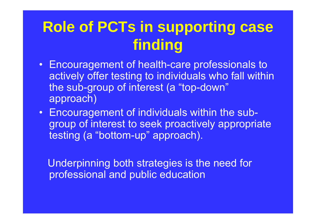### **Role of PCTs in supporting case finding**

- Encouragement of health-care professionals to actively offer testing to individuals who fall within the sub-group of interest (a "top-down" approach)
- Encouragement of individuals within the subgroup of interest to seek proactively appropriate testing (a "bottom-up" approach).

Underpinning both strategies is the need for professional and public education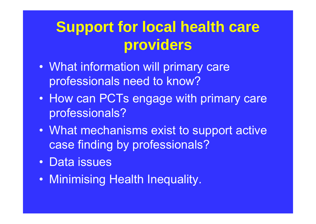## **Support for local health care providers**

- $\bullet$  What information will primary care professionals need to know?
- $\bullet$ • How can PCTs engage with primary care professionals?
- What mechanisms exist to support active case finding by professionals?
- Data issues
- Minimising Health Inequality.